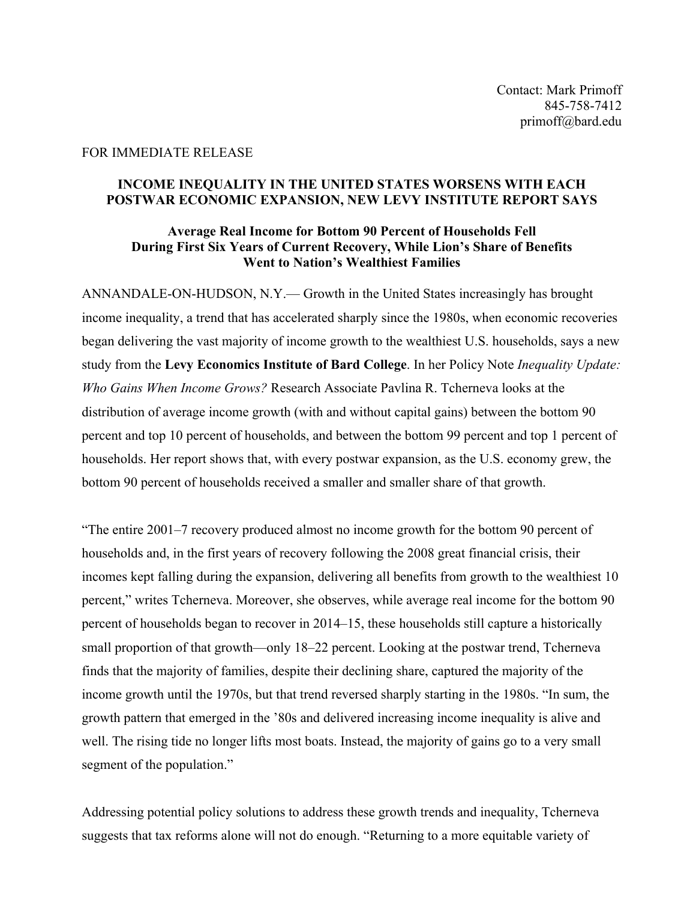## FOR IMMEDIATE RELEASE

## **INCOME INEQUALITY IN THE UNITED STATES WORSENS WITH EACH POSTWAR ECONOMIC EXPANSION, NEW LEVY INSTITUTE REPORT SAYS**

## **Average Real Income for Bottom 90 Percent of Households Fell During First Six Years of Current Recovery, While Lion's Share of Benefits Went to Nation's Wealthiest Families**

ANNANDALE-ON-HUDSON, N.Y.— Growth in the United States increasingly has brought income inequality, a trend that has accelerated sharply since the 1980s, when economic recoveries began delivering the vast majority of income growth to the wealthiest U.S. households, says a new study from the **Levy Economics Institute of Bard College**. In her Policy Note *Inequality Update: Who Gains When Income Grows?* Research Associate Pavlina R. Tcherneva looks at the distribution of average income growth (with and without capital gains) between the bottom 90 percent and top 10 percent of households, and between the bottom 99 percent and top 1 percent of households. Her report shows that, with every postwar expansion, as the U.S. economy grew, the bottom 90 percent of households received a smaller and smaller share of that growth.

"The entire 2001–7 recovery produced almost no income growth for the bottom 90 percent of households and, in the first years of recovery following the 2008 great financial crisis, their incomes kept falling during the expansion, delivering all benefits from growth to the wealthiest 10 percent," writes Tcherneva. Moreover, she observes, while average real income for the bottom 90 percent of households began to recover in 2014–15, these households still capture a historically small proportion of that growth—only 18–22 percent. Looking at the postwar trend, Tcherneva finds that the majority of families, despite their declining share, captured the majority of the income growth until the 1970s, but that trend reversed sharply starting in the 1980s. "In sum, the growth pattern that emerged in the '80s and delivered increasing income inequality is alive and well. The rising tide no longer lifts most boats. Instead, the majority of gains go to a very small segment of the population."

Addressing potential policy solutions to address these growth trends and inequality, Tcherneva suggests that tax reforms alone will not do enough. "Returning to a more equitable variety of